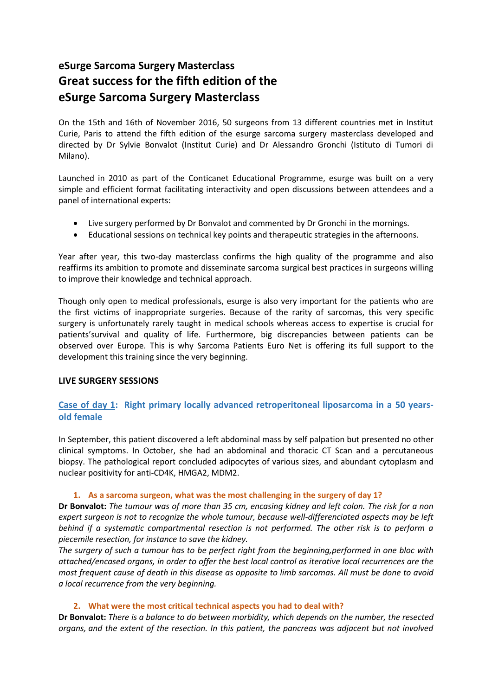# **eSurge Sarcoma Surgery Masterclass Great success for the fifth edition of the eSurge Sarcoma Surgery Masterclass**

On the 15th and 16th of November 2016, 50 surgeons from 13 different countries met in Institut Curie, Paris to attend the fifth edition of the esurge sarcoma surgery masterclass developed and directed by Dr Sylvie Bonvalot (Institut Curie) and Dr Alessandro Gronchi (Istituto di Tumori di Milano).

Launched in 2010 as part of the Conticanet Educational Programme, esurge was built on a very simple and efficient format facilitating interactivity and open discussions between attendees and a panel of international experts:

- Live surgery performed by Dr Bonvalot and commented by Dr Gronchi in the mornings.
- Educational sessions on technical key points and therapeutic strategies in the afternoons.

Year after year, this two-day masterclass confirms the high quality of the programme and also reaffirms its ambition to promote and disseminate sarcoma surgical best practices in surgeons willing to improve their knowledge and technical approach.

Though only open to medical professionals, esurge is also very important for the patients who are the first victims of inappropriate surgeries. Because of the rarity of sarcomas, this very specific surgery is unfortunately rarely taught in medical schools whereas access to expertise is crucial for patients'survival and quality of life. Furthermore, big discrepancies between patients can be observed over Europe. This is why Sarcoma Patients Euro Net is offering its full support to the development this training since the very beginning.

## **LIVE SURGERY SESSIONS**

# **Case of day 1: Right primary locally advanced retroperitoneal liposarcoma in a 50 yearsold female**

In September, this patient discovered a left abdominal mass by self palpation but presented no other clinical symptoms. In October, she had an abdominal and thoracic CT Scan and a percutaneous biopsy. The pathological report concluded adipocytes of various sizes, and abundant cytoplasm and nuclear positivity for anti-CD4K, HMGA2, MDM2.

#### **1. As a sarcoma surgeon, what was the most challenging in the surgery of day 1?**

**Dr Bonvalot:** *The tumour was of more than 35 cm, encasing kidney and left colon. The risk for a non expert surgeon is not to recognize the whole tumour, because well-differenciated aspects may be left behind if a systematic compartmental resection is not performed. The other risk is to perform a piecemile resection, for instance to save the kidney.*

*The surgery of such a tumour has to be perfect right from the beginning,performed in one bloc with attached/encased organs, in order to offer the best local control as iterative local recurrences are the most frequent cause of death in this disease as opposite to limb sarcomas. All must be done to avoid a local recurrence from the very beginning.*

#### **2. What were the most critical technical aspects you had to deal with?**

**Dr Bonvalot:** *There is a balance to do between morbidity, which depends on the number, the resected organs, and the extent of the resection. In this patient, the pancreas was adjacent but not involved*